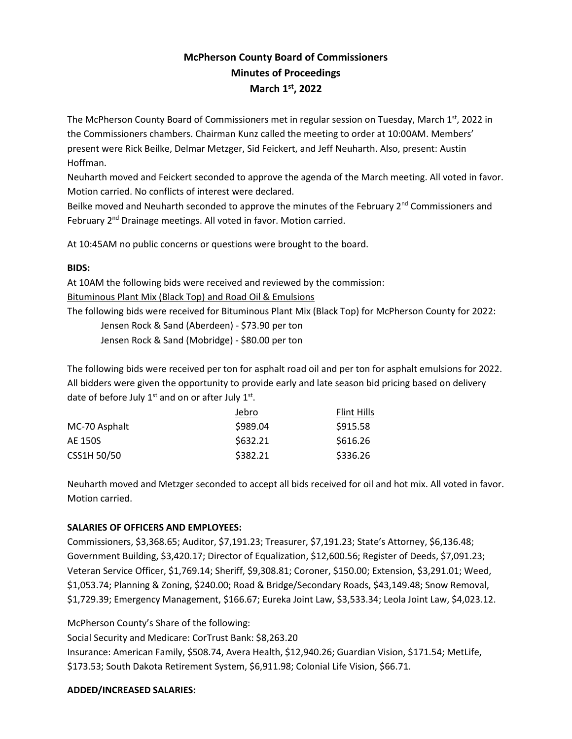# **McPherson County Board of Commissioners Minutes of Proceedings March 1 st , 2022**

The McPherson County Board of Commissioners met in regular session on Tuesday, March 1<sup>st</sup>, 2022 in the Commissioners chambers. Chairman Kunz called the meeting to order at 10:00AM. Members' present were Rick Beilke, Delmar Metzger, Sid Feickert, and Jeff Neuharth. Also, present: Austin Hoffman.

Neuharth moved and Feickert seconded to approve the agenda of the March meeting. All voted in favor. Motion carried. No conflicts of interest were declared.

Beilke moved and Neuharth seconded to approve the minutes of the February 2<sup>nd</sup> Commissioners and February 2<sup>nd</sup> Drainage meetings. All voted in favor. Motion carried.

At 10:45AM no public concerns or questions were brought to the board.

#### **BIDS:**

At 10AM the following bids were received and reviewed by the commission:

Bituminous Plant Mix (Black Top) and Road Oil & Emulsions

The following bids were received for Bituminous Plant Mix (Black Top) for McPherson County for 2022:

Jensen Rock & Sand (Aberdeen) - \$73.90 per ton

Jensen Rock & Sand (Mobridge) - \$80.00 per ton

The following bids were received per ton for asphalt road oil and per ton for asphalt emulsions for 2022. All bidders were given the opportunity to provide early and late season bid pricing based on delivery date of before July  $1^{st}$  and on or after July  $1^{st}$ .

|               | Jebro    | Flint Hills |
|---------------|----------|-------------|
| MC-70 Asphalt | \$989.04 | \$915.58    |
| AE 150S       | \$632.21 | \$616.26    |
| CSS1H 50/50   | \$382.21 | \$336.26    |

Neuharth moved and Metzger seconded to accept all bids received for oil and hot mix. All voted in favor. Motion carried.

# **SALARIES OF OFFICERS AND EMPLOYEES:**

Commissioners, \$3,368.65; Auditor, \$7,191.23; Treasurer, \$7,191.23; State's Attorney, \$6,136.48; Government Building, \$3,420.17; Director of Equalization, \$12,600.56; Register of Deeds, \$7,091.23; Veteran Service Officer, \$1,769.14; Sheriff, \$9,308.81; Coroner, \$150.00; Extension, \$3,291.01; Weed, \$1,053.74; Planning & Zoning, \$240.00; Road & Bridge/Secondary Roads, \$43,149.48; Snow Removal, \$1,729.39; Emergency Management, \$166.67; Eureka Joint Law, \$3,533.34; Leola Joint Law, \$4,023.12.

McPherson County's Share of the following:

Social Security and Medicare: CorTrust Bank: \$8,263.20

Insurance: American Family, \$508.74, Avera Health, \$12,940.26; Guardian Vision, \$171.54; MetLife, \$173.53; South Dakota Retirement System, \$6,911.98; Colonial Life Vision, \$66.71.

# **ADDED/INCREASED SALARIES:**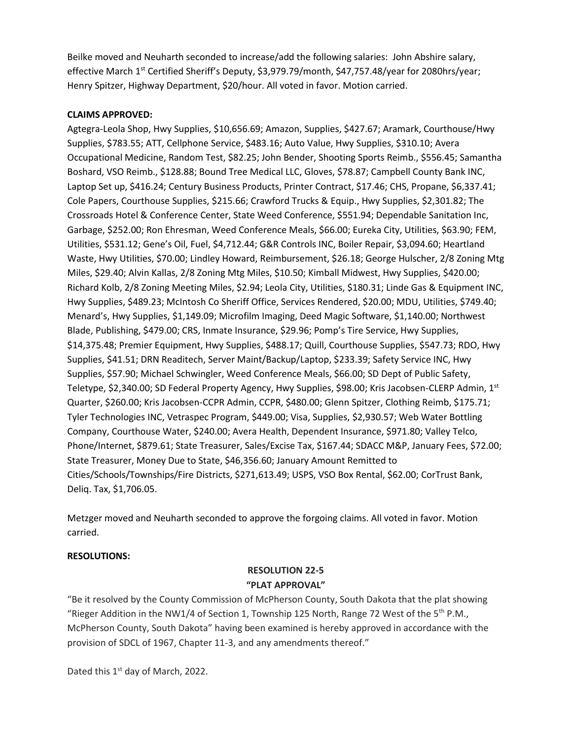Beilke moved and Neuharth seconded to increase/add the following salaries: John Abshire salary, effective March 1<sup>st</sup> Certified Sheriff's Deputy, \$3,979.79/month, \$47,757.48/year for 2080hrs/year; Henry Spitzer, Highway Department, \$20/hour. All voted in favor. Motion carried.

#### **CLAIMS APPROVED:**

Agtegra-Leola Shop, Hwy Supplies, \$10,656.69; Amazon, Supplies, \$427.67; Aramark, Courthouse/Hwy Supplies, \$783.55; ATT, Cellphone Service, \$483.16; Auto Value, Hwy Supplies, \$310.10; Avera Occupational Medicine, Random Test, \$82.25; John Bender, Shooting Sports Reimb., \$556.45; Samantha Boshard, VSO Reimb., \$128.88; Bound Tree Medical LLC, Gloves, \$78.87; Campbell County Bank INC, Laptop Set up, \$416.24; Century Business Products, Printer Contract, \$17.46; CHS, Propane, \$6,337.41; Cole Papers, Courthouse Supplies, \$215.66; Crawford Trucks & Equip., Hwy Supplies, \$2,301.82; The Crossroads Hotel & Conference Center, State Weed Conference, \$551.94; Dependable Sanitation Inc, Garbage, \$252.00; Ron Ehresman, Weed Conference Meals, \$66.00; Eureka City, Utilities, \$63.90; FEM, Utilities, \$531.12; Gene's Oil, Fuel, \$4,712.44; G&R Controls INC, Boiler Repair, \$3,094.60; Heartland Waste, Hwy Utilities, \$70.00; Lindley Howard, Reimbursement, \$26.18; George Hulscher, 2/8 Zoning Mtg Miles, \$29.40; Alvin Kallas, 2/8 Zoning Mtg Miles, \$10.50; Kimball Midwest, Hwy Supplies, \$420.00; Richard Kolb, 2/8 Zoning Meeting Miles, \$2.94; Leola City, Utilities, \$180.31; Linde Gas & Equipment INC, Hwy Supplies, \$489.23; McIntosh Co Sheriff Office, Services Rendered, \$20.00; MDU, Utilities, \$749.40; Menard's, Hwy Supplies, \$1,149.09; Microfilm Imaging, Deed Magic Software, \$1,140.00; Northwest Blade, Publishing, \$479.00; CRS, Inmate Insurance, \$29.96; Pomp's Tire Service, Hwy Supplies, \$14,375.48; Premier Equipment, Hwy Supplies, \$488.17; Quill, Courthouse Supplies, \$547.73; RDO, Hwy Supplies, \$41.51; DRN Readitech, Server Maint/Backup/Laptop, \$233.39; Safety Service INC, Hwy Supplies, \$57.90; Michael Schwingler, Weed Conference Meals, \$66.00; SD Dept of Public Safety, Teletype, \$2,340.00; SD Federal Property Agency, Hwy Supplies, \$98.00; Kris Jacobsen-CLERP Admin, 1st Quarter, \$260.00; Kris Jacobsen-CCPR Admin, CCPR, \$480.00; Glenn Spitzer, Clothing Reimb, \$175.71; Tyler Technologies INC, Vetraspec Program, \$449.00; Visa, Supplies, \$2,930.57; Web Water Bottling Company, Courthouse Water, \$240.00; Avera Health, Dependent Insurance, \$971.80; Valley Telco, Phone/Internet, \$879.61; State Treasurer, Sales/Excise Tax, \$167.44; SDACC M&P, January Fees, \$72.00; State Treasurer, Money Due to State, \$46,356.60; January Amount Remitted to Cities/Schools/Townships/Fire Districts, \$271,613.49; USPS, VSO Box Rental, \$62.00; CorTrust Bank, Deliq. Tax, \$1,706.05.

Metzger moved and Neuharth seconded to approve the forgoing claims. All voted in favor. Motion carried.

#### **RESOLUTIONS:**

# **RESOLUTION 22-5 "PLAT APPROVAL"**

"Be it resolved by the County Commission of McPherson County, South Dakota that the plat showing "Rieger Addition in the NW1/4 of Section 1, Township 125 North, Range 72 West of the  $5<sup>th</sup>$  P.M., McPherson County, South Dakota" having been examined is hereby approved in accordance with the provision of SDCL of 1967, Chapter 11-3, and any amendments thereof."

Dated this 1<sup>st</sup> day of March, 2022.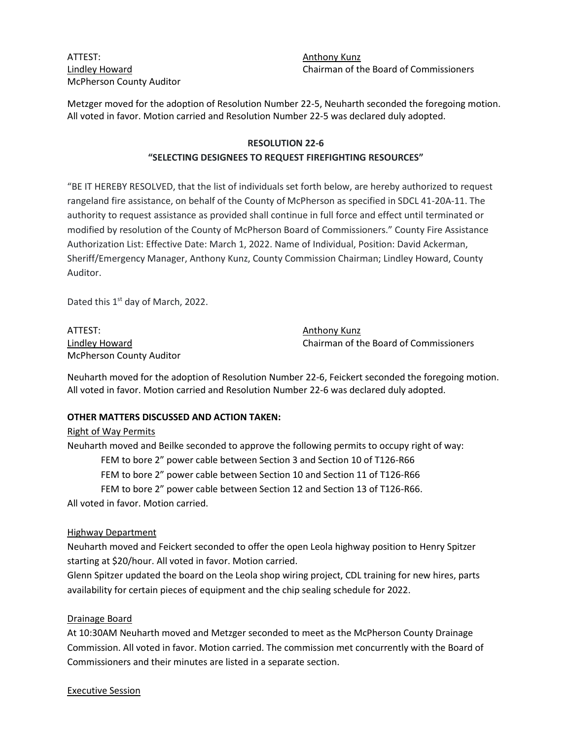# ATTEST: ANTEST: McPherson County Auditor

Lindley Howard Chairman of the Board of Commissioners

Metzger moved for the adoption of Resolution Number 22-5, Neuharth seconded the foregoing motion. All voted in favor. Motion carried and Resolution Number 22-5 was declared duly adopted.

#### **RESOLUTION 22-6**

#### **"SELECTING DESIGNEES TO REQUEST FIREFIGHTING RESOURCES"**

"BE IT HEREBY RESOLVED, that the list of individuals set forth below, are hereby authorized to request rangeland fire assistance, on behalf of the County of McPherson as specified in SDCL 41-20A-11. The authority to request assistance as provided shall continue in full force and effect until terminated or modified by resolution of the County of McPherson Board of Commissioners." County Fire Assistance Authorization List: Effective Date: March 1, 2022. Name of Individual, Position: David Ackerman, Sheriff/Emergency Manager, Anthony Kunz, County Commission Chairman; Lindley Howard, County Auditor.

Dated this 1<sup>st</sup> day of March, 2022.

ATTEST: AND ANTEST: McPherson County Auditor

Lindley Howard Chairman of the Board of Commissioners

Neuharth moved for the adoption of Resolution Number 22-6, Feickert seconded the foregoing motion. All voted in favor. Motion carried and Resolution Number 22-6 was declared duly adopted.

#### **OTHER MATTERS DISCUSSED AND ACTION TAKEN:**

#### Right of Way Permits

Neuharth moved and Beilke seconded to approve the following permits to occupy right of way: FEM to bore 2" power cable between Section 3 and Section 10 of T126-R66 FEM to bore 2" power cable between Section 10 and Section 11 of T126-R66 FEM to bore 2" power cable between Section 12 and Section 13 of T126-R66. All voted in favor. Motion carried.

#### Highway Department

Neuharth moved and Feickert seconded to offer the open Leola highway position to Henry Spitzer starting at \$20/hour. All voted in favor. Motion carried.

Glenn Spitzer updated the board on the Leola shop wiring project, CDL training for new hires, parts availability for certain pieces of equipment and the chip sealing schedule for 2022.

#### Drainage Board

At 10:30AM Neuharth moved and Metzger seconded to meet as the McPherson County Drainage Commission. All voted in favor. Motion carried. The commission met concurrently with the Board of Commissioners and their minutes are listed in a separate section.

Executive Session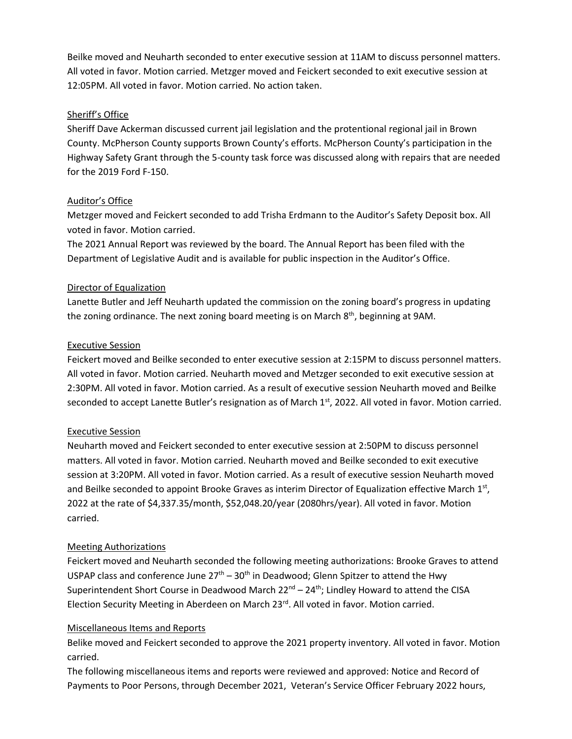Beilke moved and Neuharth seconded to enter executive session at 11AM to discuss personnel matters. All voted in favor. Motion carried. Metzger moved and Feickert seconded to exit executive session at 12:05PM. All voted in favor. Motion carried. No action taken.

#### Sheriff's Office

Sheriff Dave Ackerman discussed current jail legislation and the protentional regional jail in Brown County. McPherson County supports Brown County's efforts. McPherson County's participation in the Highway Safety Grant through the 5-county task force was discussed along with repairs that are needed for the 2019 Ford F-150.

#### Auditor's Office

Metzger moved and Feickert seconded to add Trisha Erdmann to the Auditor's Safety Deposit box. All voted in favor. Motion carried.

The 2021 Annual Report was reviewed by the board. The Annual Report has been filed with the Department of Legislative Audit and is available for public inspection in the Auditor's Office.

#### Director of Equalization

Lanette Butler and Jeff Neuharth updated the commission on the zoning board's progress in updating the zoning ordinance. The next zoning board meeting is on March 8<sup>th</sup>, beginning at 9AM.

#### Executive Session

Feickert moved and Beilke seconded to enter executive session at 2:15PM to discuss personnel matters. All voted in favor. Motion carried. Neuharth moved and Metzger seconded to exit executive session at 2:30PM. All voted in favor. Motion carried. As a result of executive session Neuharth moved and Beilke seconded to accept Lanette Butler's resignation as of March  $1<sup>st</sup>$ , 2022. All voted in favor. Motion carried.

# Executive Session

Neuharth moved and Feickert seconded to enter executive session at 2:50PM to discuss personnel matters. All voted in favor. Motion carried. Neuharth moved and Beilke seconded to exit executive session at 3:20PM. All voted in favor. Motion carried. As a result of executive session Neuharth moved and Beilke seconded to appoint Brooke Graves as interim Director of Equalization effective March 1st, 2022 at the rate of \$4,337.35/month, \$52,048.20/year (2080hrs/year). All voted in favor. Motion carried.

#### Meeting Authorizations

Feickert moved and Neuharth seconded the following meeting authorizations: Brooke Graves to attend USPAP class and conference June  $27<sup>th</sup> - 30<sup>th</sup>$  in Deadwood; Glenn Spitzer to attend the Hwy Superintendent Short Course in Deadwood March 22<sup>nd</sup> – 24<sup>th</sup>; Lindley Howard to attend the CISA Election Security Meeting in Aberdeen on March 23<sup>rd</sup>. All voted in favor. Motion carried.

#### Miscellaneous Items and Reports

Belike moved and Feickert seconded to approve the 2021 property inventory. All voted in favor. Motion carried.

The following miscellaneous items and reports were reviewed and approved: Notice and Record of Payments to Poor Persons, through December 2021, Veteran's Service Officer February 2022 hours,